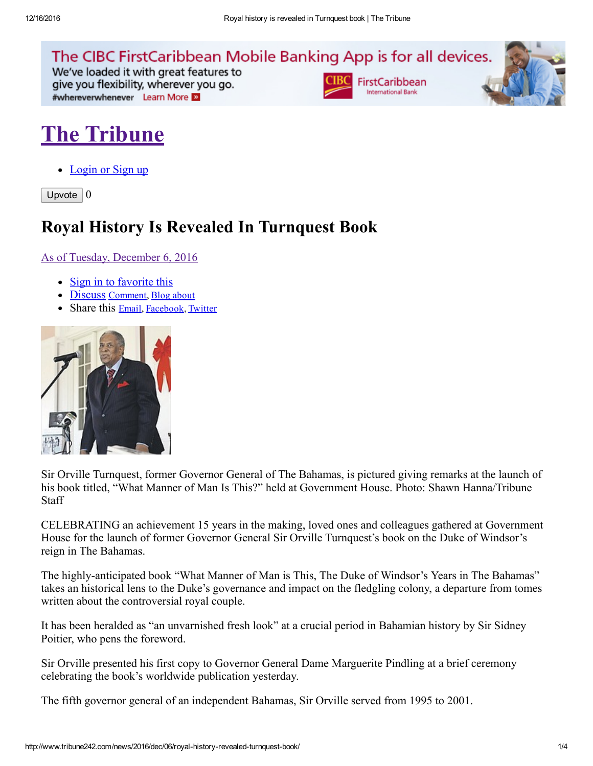

We've loaded it with great features to give you flexibility, wherever you go. #whereverwhenever Learn More





## The [Tribune](http://www.tribune242.com/)

• [Login](http://www.tribune242.com/accounts/login/?next=/news/2016/dec/06/royal-history-revealed-turnquest-book/) or Sign up

Upvote  $\vert 0 \vert$ 

## Royal History Is Revealed In Turnquest Book

As of Tuesday, [December](http://www.tribune242.com/news/2016/dec/06/royal-history-revealed-turnquest-book/) 6, 2016

- Sign in to [favorite](http://www.tribune242.com/accounts/login/?next=/news/2016/dec/06/royal-history-revealed-turnquest-book/) this
- [Discuss](#page-1-0) [Comment,](#page-1-0) Blog [about](http://www.tribune242.com/weblogs/post/?cid=124&oid=52598)
- Share this [Email,](http://www.tribune242.com/mailfriend/124/52598/1ff5f8175f/) [Facebook](https://www.facebook.com/sharer.php?u=http://tribune242.com/news/2016/dec/06/royal-history-revealed-turnquest-book/), [Twitter](http://twitter.com/home?status=http://tribune242.com/news/2016/dec/06/royal-history-revealed-turnquest-book/)



Sir Orville Turnquest, former Governor General of The Bahamas, is pictured giving remarks at the launch of his book titled, "What Manner of Man Is This?" held at Government House. Photo: Shawn Hanna/Tribune **Staff** 

CELEBRATING an achievement 15 years in the making, loved ones and colleagues gathered at Government House for the launch of former Governor General Sir Orville Turnquest's book on the Duke of Windsor's reign in The Bahamas.

The highly-anticipated book "What Manner of Man is This, The Duke of Windsor's Years in The Bahamas" takes an historical lens to the Duke's governance and impact on the fledgling colony, a departure from tomes written about the controversial royal couple.

It has been heralded as "an unvarnished fresh look" at a crucial period in Bahamian history by Sir Sidney Poitier, who pens the foreword.

Sir Orville presented his first copy to Governor General Dame Marguerite Pindling at a brief ceremony celebrating the book's worldwide publication yesterday.

The fifth governor general of an independent Bahamas, Sir Orville served from 1995 to 2001.